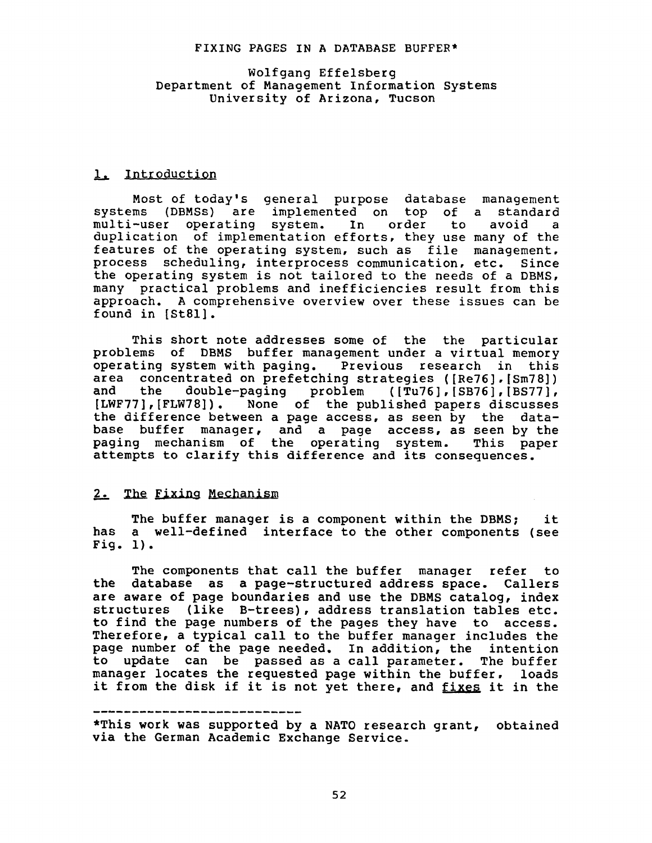#### FIXING PAGES IN A DATABASE BUFFER\*

# Wolfgang Effelsberg Department of Management Information Systems University of Arizona, Tucson

#### 1. Introduction

Most of today's general purpose database management systems (DBMSs) are implemented on top of a standard multi-user operating system. In order to avoid a duplication of implementation efforts, they use many of the features of the operating system, such as file management, process scheduling, interprocess communication, etc. Since the operating system is not tailored to the needs of a DBMS, many practical problems and inefficiencies result from this approach. A comprehensive overview over these issues can be found in [St81].

This short note addresses some of the the particular problems of DBMS buffer management under a virtual memory operating system with paging. Previous research in this area concentrated on prefetching strategies ([Re76], [Sm78])<br>and the double-paging problem ([Tu76], [SB76], [BS77], and the double-paging problem *([Tu76],[SB76],[BS77],*  [LWF77], [FLW78]). None of the published papers discusses the difference between a page access, as seen by the database buffer manager, and a page access, as seen by the paging mechanism of the operating system. This paper attempts to clarify this difference and its consequences.

# 2. The Fixing Mechanism

The buffer manager is a component within the DBMS; it has a well-defined interface to the other components (see Fig. i).

The components that call the buffer manager refer to the database as a page-structured address space. Callers are aware of page boundaries and use the DBMS catalog, index structures (like B-trees), address translation tables etc. to find the page numbers of the pages they have to access. Therefore, a typical call to the buffer manager includes the page number of the page needed. In addition, the intention to update can be passed as a call parameter. The buffer manager locates the requested page within the buffer, loads it from the disk if it is not yet there, and fixes it in the

\*This work was supported by a NATO research grant, obtained via the German Academic Exchange Service.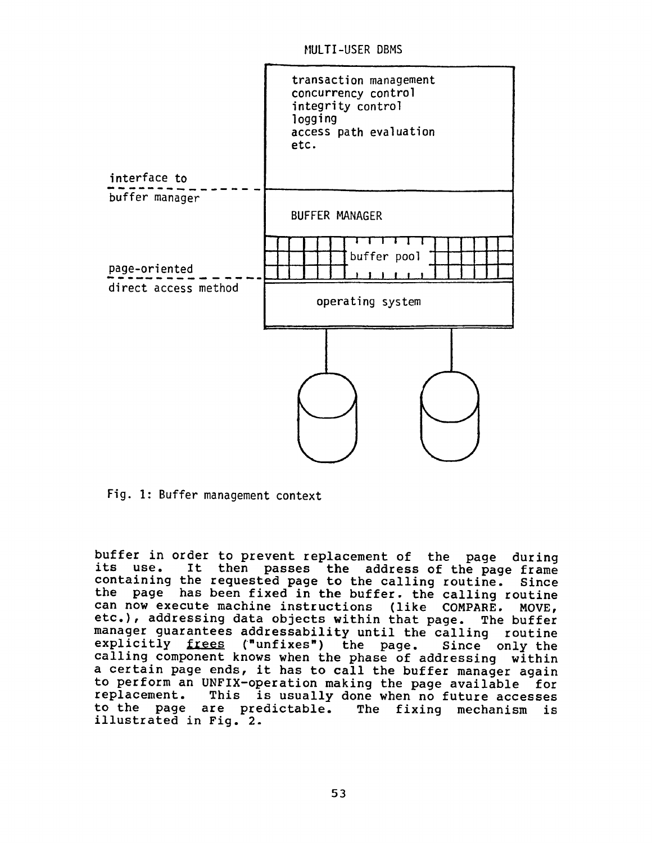MULTI-USER DBMS



Fig. I: Buffer management context

buffer in order to prevent replacement of the page during its use. It then passes the address of the page frame containing the requested page to the calling routine. Since the page has been fixed in the buffer. the calling routine can now execute machine instructions (like COMPARE, MOVE, etc.), addressing data objects within that page. The buffer manager guarantees addressability until the calling routine explicitly frees ("unfixes") the page. Since only the calling component knows when the phase of addressing within a certain page ends, it has to call the buffer manager again to perform an UNFiX-operation making the page available for replacement. This is usually done when no future accesses to the page are predictable. The fixing mechanism is illustrated in Fig. 2.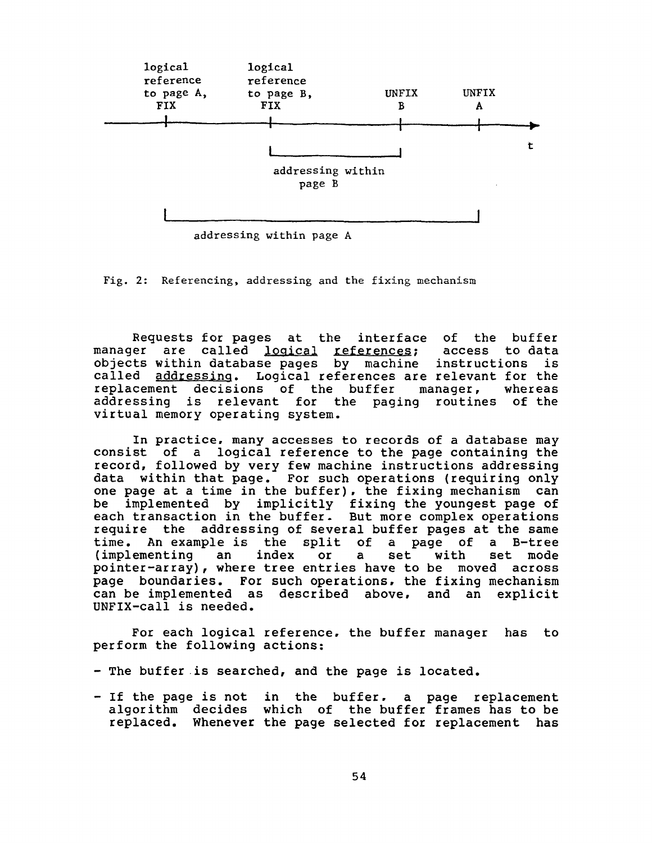

addressing within page A

Fig. 2: Referencing, addressing and the fixing mechanism

Requests for pages at the interface of the buffer<br>er are called logical references: access to data manager are called logical references; objects within database pages by machine instructions is called addressing. Logical references are relevant for the replacement decisions of the buffer manager, whereas addressing is relevant for the paging routines of the virtual memory operating system.

In practice, many accesses to records of a database may consist of a logical reference to the page containing the record, followed by very few machine instructions addressing data within that page. For such operations (requiring only one page at a time in the buffer), the fixing mechanism can be implemented by implicitly fixing the youngest page of each transaction in the buffer. But more complex operations require the addressing of several buffer pages at the same time. An example is the split of a page of a B-tree (implementing an index or a set with set mode pointer-array), where tree entries have to be moved across page boundaries. For such operations, the fixing mechanism can be implemented as described above, and an explicit UNFiX-call is needed.

For each logical reference, the buffer manager has to perform the following actions:

- The buffer is searched, and the page is located.
- If the page is not in the buffer. a page replacement algorithm decides which of the buffer frames has to be replaced. Whenever the page selected for replacement has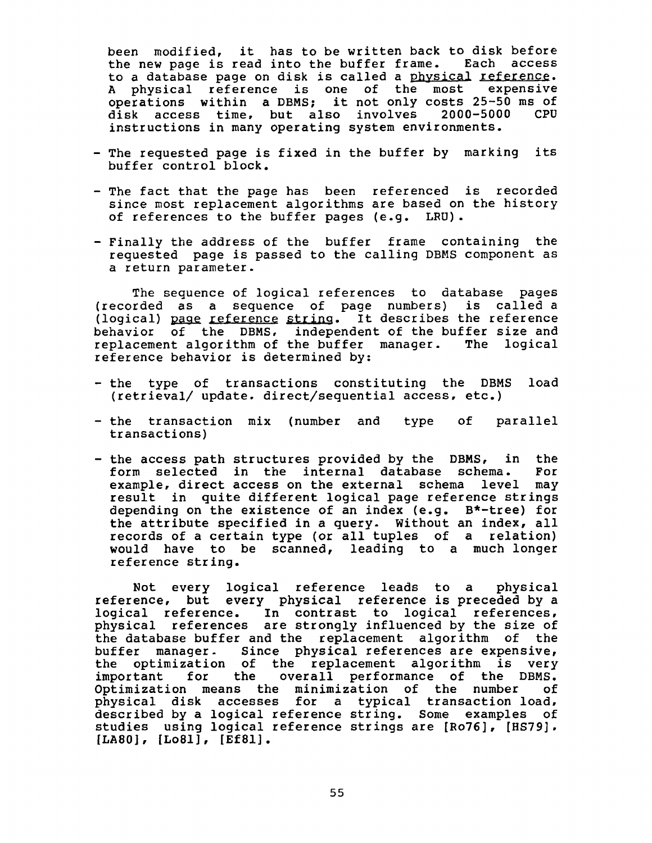been modified, it has to be written back to disk before the new page is read into the buffer frame. Each access to a database page on disk is called a physical reference. A physical reference is one of the most expensive operations within a DBMS; it not only costs 25-50 ms of disk access time, but also involves 2000-5000 CPU instructions in many operating system environments.

- The requested page is fixed in the buffer by marking its buffer control block.
- The fact that the page has been referenced is recorded since most replacement algorithms are based on the history of references to the buffer pages (e.g. LRU).
- Finally the address of the buffer frame containing the requested page is passed to the calling DBMS component as a return parameter.

The sequence of logical references to database pages (recorded as a sequence of page numbers) is called a (logical) page reference string. It describes the reference behavior of the DBMS, independent of the buffer size and replacement algorithm of the buffer manager. The logical reference behavior is determined by:

- the type of transactions constituting the DBMS load (retrieval/ update, direct/sequential access, etc.)
- the transaction mix (number and type of parallel transactions)
- the access path structures provided by the DBMS, in the form selected in the internal database schema. For form selected in the internal database schema. example, direct access on the external schema level may result in quite different logical page reference strings depending on the existence of an index (e.g. B\*-tree) for the attribute specified in a query. Without an index, all records of a certain type (or all tuples of a relation) would have to be scanned, leading to a much longer reference string.

Not every logical reference leads to a physical reference, but every physical reference is preceded by a logical reference. In contrast to logical references, physical references are strongly influenced by the size of the database buffer and the replacement algorithm of the buffer manager. Since physical references are expensive, the optimization of the replacement algorithm is very important for the overall performance of the DBMS. Optimization means the minimization of the number of physical disk accesses for a typical transaction load, described by a logical reference string. Some examples of studies using logical reference strings are [Ro76], [HS79], [LAB0], [LoSl], [Ef81].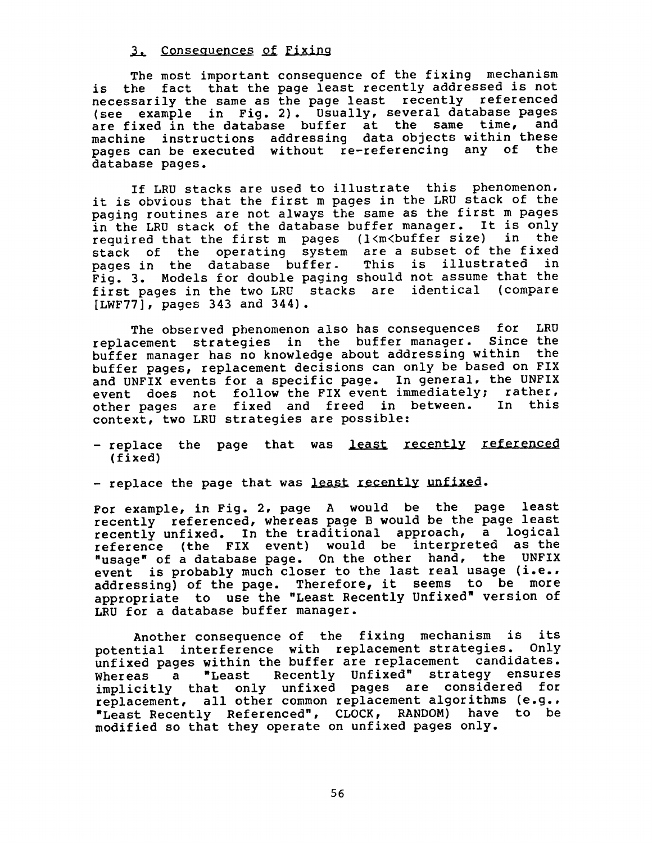# 3. Consequences of Fixing

The most important consequence of the fixing mechanism is the fact that the page least recently addressed is not necessarily the same as the page least recently referenced (see example in Fig. 2). Usually, several database pages are fixed in the database buffer at the same time, and machine instructions addressing data objects within these pages can be executed without re-referencing any of the database pages.

If LRU stacks are used to illustrate this phenomenon, it is obvious that the first m pages in the LRU stack of the paging routines are not always the same as the first m pages in the LRU stack of the database buffer manager. It is only<br>required that the first m pages (l<m<br/>buffer size) in the required that the first m pages  $(1\langle m\langle buffer\; size\rangle)$ stack of the operating system are a subset of the fixed pages in the database buffer- This is illustrated in Fig. 3. Models for double paging should not assume that the first pages in the two LRU stacks are identical (compare [LWF77], pages 343 and 344).

The observed phenomenon also has consequences for LRU replacement strategies in the buffer manager. Since the buffer manager has no knowledge about addressing within the buffer pages, replacement decisions can only be based on FIX and UNFIX events for a specific page. In general, the UNFIX event does not follow the FIX event immediately; rather,<br>other pages are fixed and freed in between. In this other pages are fixed and freed in between. context, two LRU strategies are possible:

- replace the page that was least recently referenced (fixed)
- replace the page that was least recently unfixed.

For example, in Fig. 2, page A would be the page least recently referenced, whereas page B would be the page least recently unfixed. In the traditional approach, a logical reference (the FIX event) would be interpreted as the "usage" of a database page. On the other hand, the UNFIX event is probably much closer to the last real usage (i.e., addressing) of the page. Therefore, it seems to be more appropriate to use the "Least Recently Unfixed" version of LRU for a database buffer manager.

Another consequence of the fixing mechanism is its potential interference with replacement strategies. Only unfixed pages within the buffer are replacement candidates. Whereas a "Least Recently Unfixed" strategy ensures implicitly that only unfixed pages are considered for replacement, all other common replacement algorithms (e.g., "Least Recently Referenced", CLOCK, RANDOM) have to be modified so that they operate on unfixed pages only.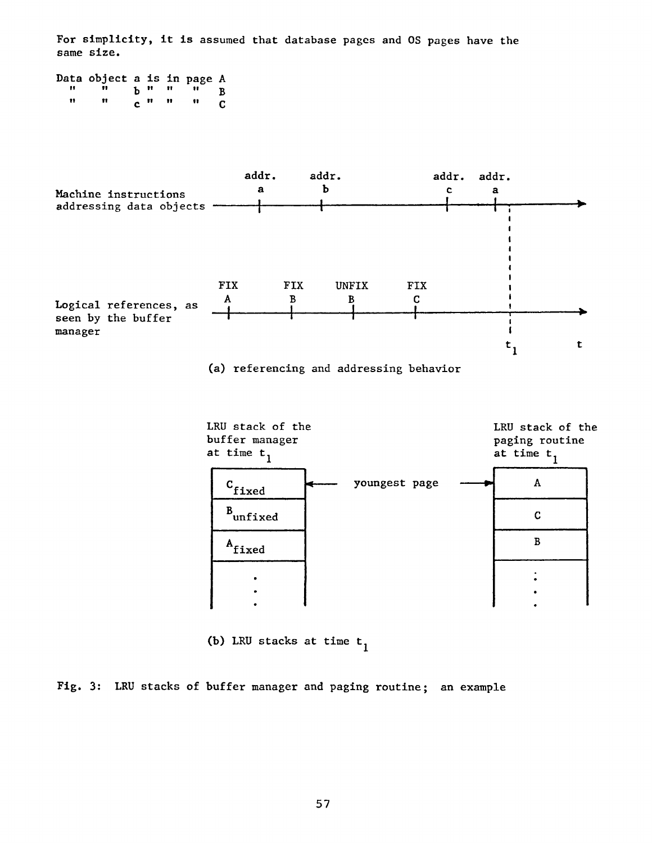For simplicity, it is assumed that database pages and OS pages have the same size.

|      | Data object a is in page A |  |                 |                 |              |
|------|----------------------------|--|-----------------|-----------------|--------------|
| - 11 |                            |  |                 | $P_{H}$ and $H$ |              |
| n    |                            |  | $c^{n}$ $n - n$ |                 | $\mathbf{C}$ |



(a) referencing and addressing behavior



(b) LRU stacks at time  $t_1$ 

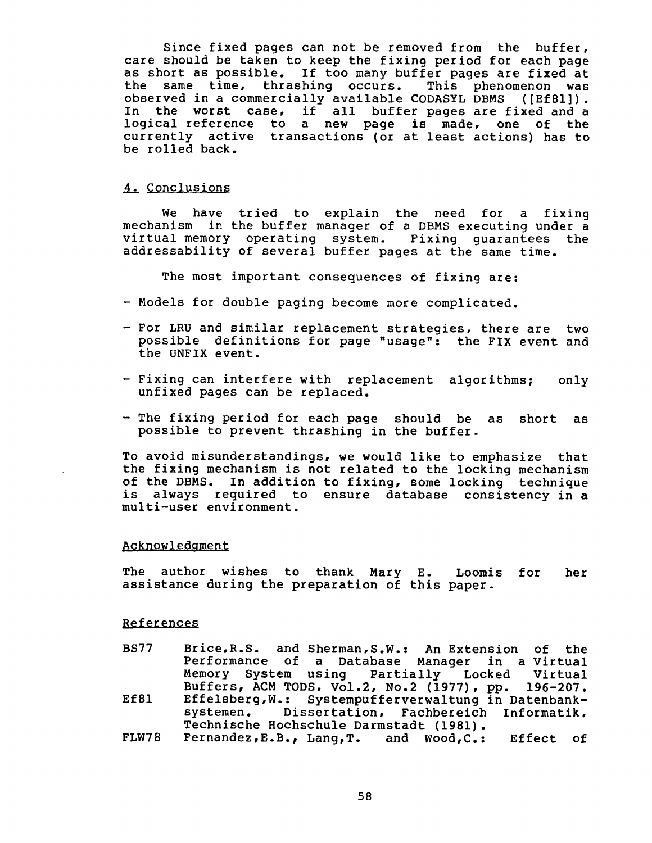Since fixed pages can not be removed from the buffer, care should be taken to keep the fixing period for each page as short as possible. If too many buffer pages are fixed at the same time, thrashing occurs. This phenomenon was observed in a commercially available CODASYL DBMS ([Ef81]). In the worst case, if all buffer pages are fixed and a logical reference to a new page is made, one of the currently active transactions (or at least actions) has to be rolled back.

#### 4. Conclusions

We have tried to explain the need for a fixing mechanism in the buffer manager of a DBMS executing under a virtual memory operating system. Fixing guarantees the addressability of several buffer pages at the same time.

The most important consequences of fixing are:

- Models for double paging become more complicated.
- For LRU and similar replacement strategies, there are two possible definitions for page "usage": the FIX event and the UNFIX event.
- Fixing can interfere with replacement algorithms; only unfixed pages can be replaced.
- The fixing period for each page should be as short as possible to prevent thrashing in the buffer.

To avoid misunderstandings, we would like to emphasize that the fixing mechanism is not related to the locking mechanism of the DBMS. In addition to fixing, some locking technique is always required to ensure database consistency in a multi-user environment.

# Acknowledgment

The author wishes to thank Mary E. Loomis for her assistance during the preparation of this paper.

#### References

- BS77 **Ef81**  Brice,R.S. and Sherman,S.W.: An Extension of the Performance of a Database Manager in a Virtual Memory System using Partially Locked Virtual Buffers, ACM TODS, Vol.2, No.2 (1977), pp. 196-207. Effelsberg,W.: Systempufferverwaltung in Datenbanksystemen. Dissertation, Fachbereich Informatik, Technische Hochschule Darmstadt (1981).
- FLW78 Fernandez,E.B., Lang,T. and Wood,C.: Effect of